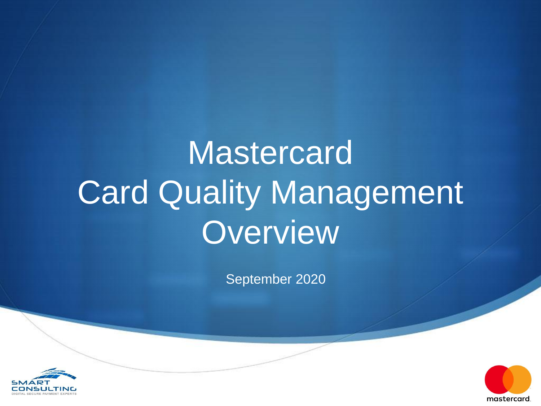# **Mastercard** Card Quality Management Overview

September 2020



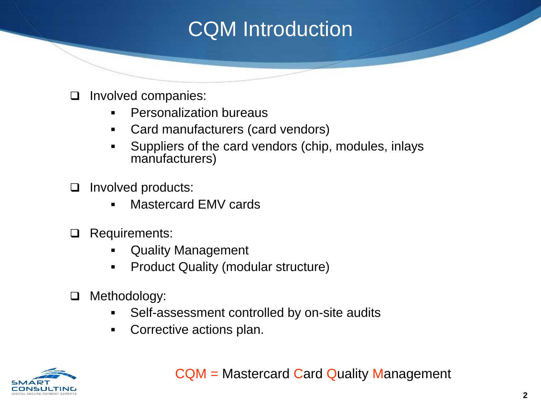### CQM Introduction

- Involved companies:
	- Personalization bureaus
	- Card manufacturers (card vendors)
	- Suppliers of the card vendors (chip, modules, inlays manufacturers)
- Involved products:
	- Mastercard EMV cards
- **Q** Requirements:
	- Quality Management
	- **Product Quality (modular structure)**
- □ Methodology:
	- Self-assessment controlled by on-site audits
	- **Corrective actions plan.**



CQM = Mastercard Card Quality Management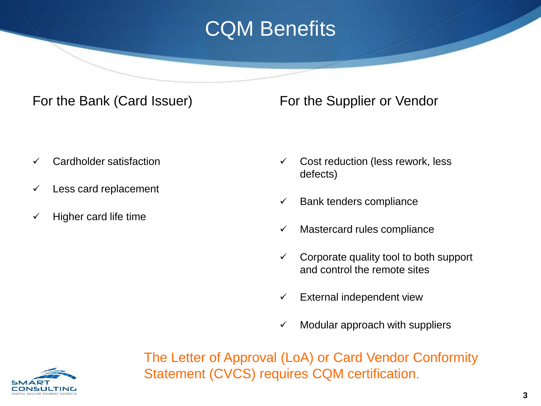## CQM Benefits

### For the Bank (Card Issuer)

- $\checkmark$  Cardholder satisfaction
- $\checkmark$  Less card replacement
- $\checkmark$  Higher card life time

For the Supplier or Vendor

- $\checkmark$  Cost reduction (less rework, less defects)
- $\checkmark$  Bank tenders compliance
- $\checkmark$  Mastercard rules compliance
- $\checkmark$  Corporate quality tool to both support and control the remote sites
- $\checkmark$  External independent view
- Modular approach with suppliers

The Letter of Approval (LoA) or Card Vendor Conformity Statement (CVCS) requires CQM certification.

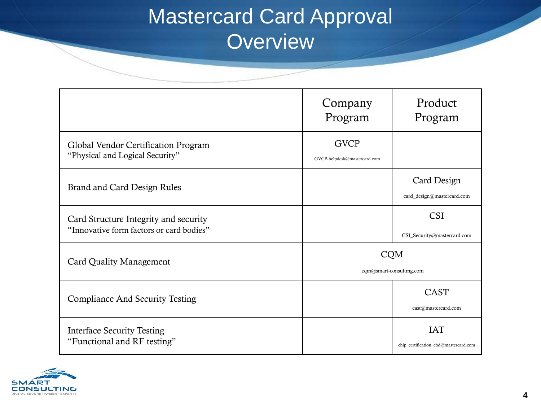### Mastercard Card Approval **Overview**

|                                                                                   | Company<br>Program                          | Product<br>Program                                  |  |  |
|-----------------------------------------------------------------------------------|---------------------------------------------|-----------------------------------------------------|--|--|
| Global Vendor Certification Program<br>"Physical and Logical Security"            | <b>GVCP</b><br>GVCP-helpdesk@mastercard.com |                                                     |  |  |
| Brand and Card Design Rules                                                       |                                             | Card Design<br>card_design@mastercard.com           |  |  |
| Card Structure Integrity and security<br>"Innovative form factors or card bodies" |                                             | <b>CSI</b><br>CSI_Security@mastercard.com           |  |  |
| Card Quality Management                                                           |                                             | <b>CQM</b><br>cqm@smart-consulting.com              |  |  |
| <b>Compliance And Security Testing</b>                                            |                                             | <b>CAST</b><br>cast@mastercard.com                  |  |  |
| <b>Interface Security Testing</b><br>"Functional and RF testing"                  |                                             | <b>IAT</b><br>chip_certification_chd@mastercard.com |  |  |

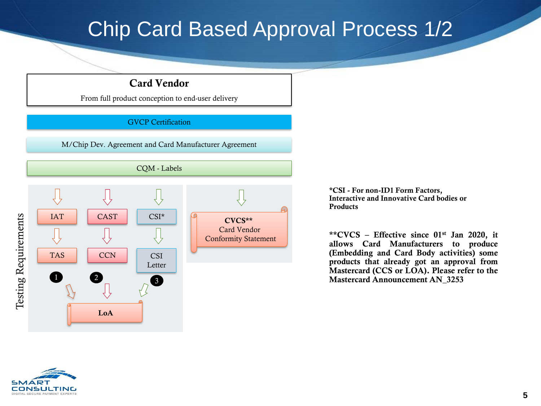### Chip Card Based Approval Process 1/2

### Card Vendor

From full product conception to end-user delivery

#### GVCP Certification

M/Chip Dev. Agreement and Card Manufacturer Agreement



\*CSI - For non-ID1 Form Factors, Interactive and Innovative Card bodies or **Products** 

\*\*CVCS – Effective since  $01<sup>st</sup>$  Jan 2020, it allows Card Manufacturers to produce (Embedding and Card Body activities) some products that already got an approval from Mastercard (CCS or LOA). Please refer to the Mastercard Announcement AN\_3253

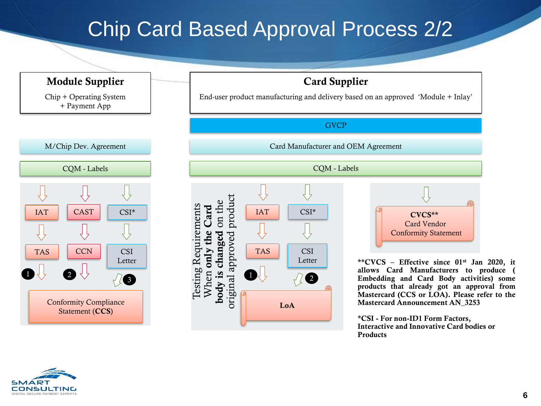### Chip Card Based Approval Process 2/2



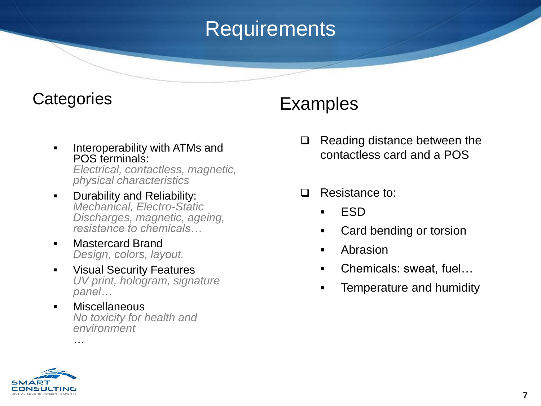## **Requirements**

### **Categories**

**Interoperability with ATMs and** POS terminals:

*Electrical, contactless, magnetic, physical characteristics* 

- **Durability and Reliability:** *Mechanical, Electro-Static Discharges, magnetic, ageing, resistance to chemicals…*
- **E** Mastercard Brand *Design, colors, layout.*
- **EXECUTE Visual Security Features** *UV print, hologram, signature panel…*
- Miscellaneous *No toxicity for health and environment*

### Examples

- $\Box$  Reading distance between the contactless card and a POS
- □ Resistance to:
	- ESD
	- Card bending or torsion
	- Abrasion
	- Chemicals: sweat, fuel...
	- **Fig.** Temperature and humidity



*…*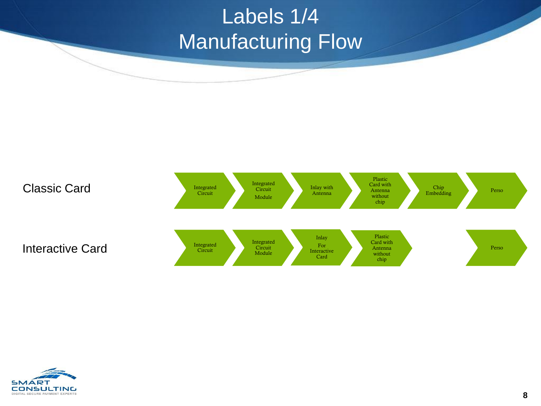## Labels 1/4 Manufacturing Flow



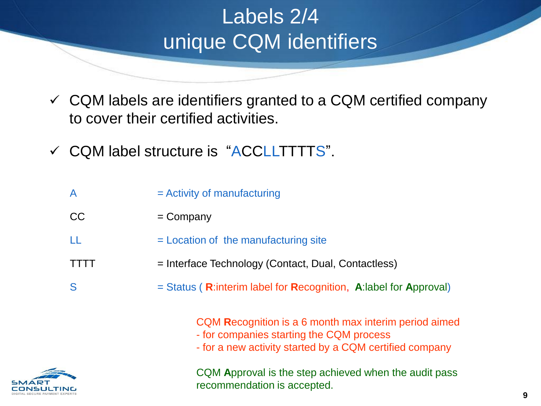## Labels 2/4 unique CQM identifiers

- $\checkmark$  CQM labels are identifiers granted to a CQM certified company to cover their certified activities.
- $\checkmark$  CQM label structure is "ACCLLTTTTS".

| $\mathsf{A}$ | $=$ Activity of manufacturing                                                                                                                                |
|--------------|--------------------------------------------------------------------------------------------------------------------------------------------------------------|
| CC           | $=$ Company                                                                                                                                                  |
|              | = Location of the manufacturing site                                                                                                                         |
|              | = Interface Technology (Contact, Dual, Contactless)                                                                                                          |
| S            | $=$ Status (R:interim label for Recognition, A:label for Approval)                                                                                           |
|              | CQM Recognition is a 6 month max interim period aimed<br>- for companies starting the CQM process<br>- for a new activity started by a CQM certified company |



CQM **A**pproval is the step achieved when the audit pass recommendation is accepted.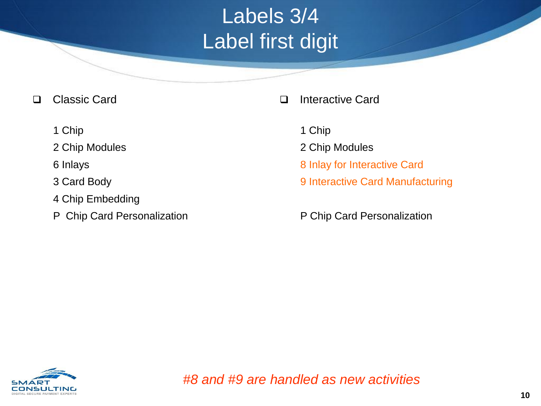## Labels 3/4 Label first digit

- □ Classic Card
	- 1 Chip
	- 2 Chip Modules
	- 6 Inlays
	- 3 Card Body
	- 4 Chip Embedding
	- P Chip Card Personalization
- □ Interactive Card
	- 1 Chip
	- 2 Chip Modules
	- 8 Inlay for Interactive Card
	- 9 Interactive Card Manufacturing
	- P Chip Card Personalization

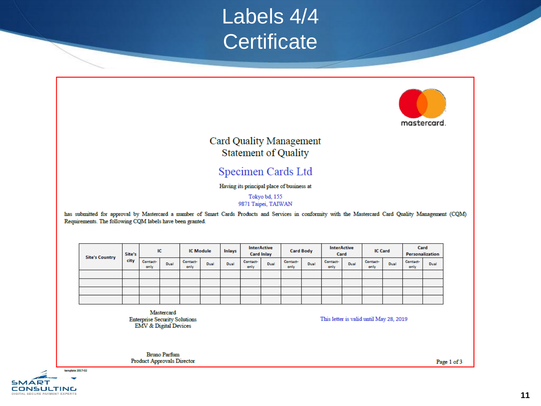### Labels 4/4 **Certificate**



#### **Card Quality Management Statement of Quality**

### Specimen Cards Ltd

#### Having its principal place of business at

Tokyo bd, 155 9871 Taipei, TAIWAN

has submitted for approval by Mastercard a number of Smart Cards Products and Services in conformity with the Mastercard Card Quality Management (CQM) Requirements. The following CQM labels have been granted.

| <b>Site's Country</b> | Site's |                  | IC   | <b>IC Module</b> |      | <b>Inlays</b> | <b>InterActive</b><br><b>Card Inlay</b> |      | <b>Card Body</b> |      | <b>InterActive</b><br>Card |      | <b>IC Card</b>   |      | Card<br>Personalization |      |
|-----------------------|--------|------------------|------|------------------|------|---------------|-----------------------------------------|------|------------------|------|----------------------------|------|------------------|------|-------------------------|------|
|                       | city   | Contact-<br>only | Dual | Contact-<br>only | Dual | Dual          | Contact-<br>only                        | Dual | Contact-<br>only | Dual | Contact-<br>only           | Dual | Contact-<br>only | Dual | Contact-<br>only        | Dual |
|                       |        |                  |      |                  |      |               |                                         |      |                  |      |                            |      |                  |      |                         |      |
|                       |        |                  |      |                  |      |               |                                         |      |                  |      |                            |      |                  |      |                         |      |
|                       |        |                  |      |                  |      |               |                                         |      |                  |      |                            |      |                  |      |                         |      |
|                       |        |                  |      |                  |      |               |                                         |      |                  |      |                            |      |                  |      |                         |      |

Mastercard **Enterprise Security Solutions EMV & Digital Devices** 

This letter is valid until May 28, 2019

**Bruno Parfum Product Approvals Director** 

Page 1 of 3

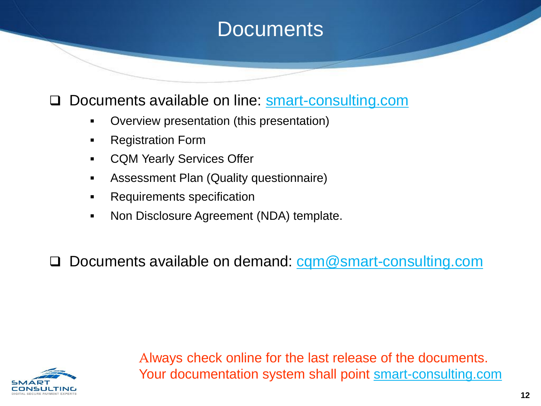### **Documents**

### D Documents available on line: [smart-consulting.com](http://www.smart-consulting.com/card-quality-management/documentation/)

- Overview presentation (this presentation)
- **Registration Form**
- CQM Yearly Services Offer
- Assessment Plan (Quality questionnaire)
- **Requirements specification**
- Non Disclosure Agreement (NDA) template.

□ Documents available on demand: [cqm@smart-consulting.com](mailto:cqm@smart-consulting.com)



Always check online for the last release of the documents. Your documentation system shall point [smart-consulting.com](http://www.smart-consulting.com/card-quality-management/documentation/)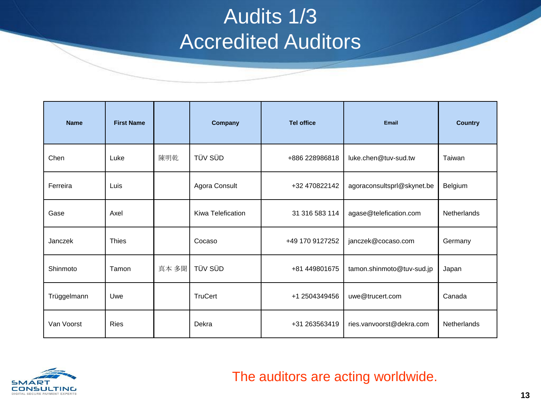### Audits 1/3 Accredited Auditors

| <b>Name</b> | <b>First Name</b> |       | Company           | <b>Tel office</b> | <b>Email</b>               | <b>Country</b>     |
|-------------|-------------------|-------|-------------------|-------------------|----------------------------|--------------------|
| Chen        | Luke              | 陳明乾   | TÜV SÜD           | +886 228986818    | luke.chen@tuv-sud.tw       | Taiwan             |
| Ferreira    | Luis              |       | Agora Consult     | +32 470822142     | agoraconsultsprl@skynet.be | Belgium            |
| Gase        | Axel              |       | Kiwa Telefication | 31 316 583 114    | agase@telefication.com     | <b>Netherlands</b> |
| Janczek     | <b>Thies</b>      |       | Cocaso            | +49 170 9127252   | janczek@cocaso.com         | Germany            |
| Shinmoto    | Tamon             | 真本 多聞 | TÜV SÜD           | +81 449801675     | tamon.shinmoto@tuv-sud.jp  | Japan              |
| Trüggelmann | Uwe               |       | <b>TruCert</b>    | +1 2504349456     | uwe@trucert.com            | Canada             |
| Van Voorst  | <b>Ries</b>       |       | Dekra             | +31 263563419     | ries.vanvoorst@dekra.com   | Netherlands        |

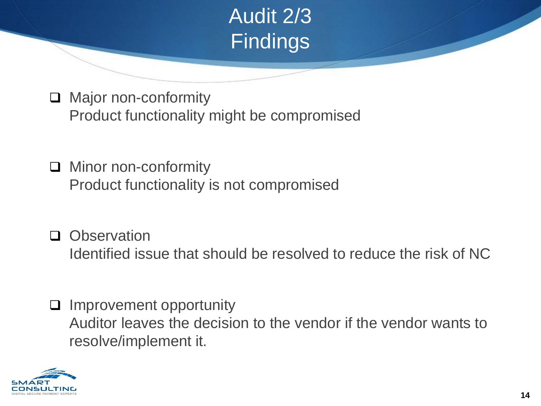

□ Major non-conformity Product functionality might be compromised

□ Minor non-conformity Product functionality is not compromised

- **Q** Observation Identified issue that should be resolved to reduce the risk of NC
- $\Box$  Improvement opportunity Auditor leaves the decision to the vendor if the vendor wants to resolve/implement it.

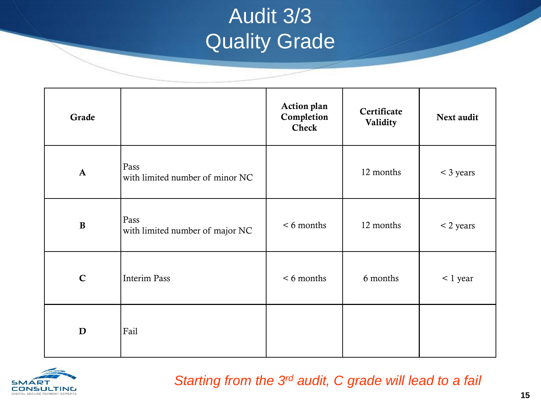## Audit 3/3 Quality Grade

| Grade        |                                         | <b>Action plan</b><br>Completion<br><b>Check</b> | Certificate<br>Validity | Next audit  |
|--------------|-----------------------------------------|--------------------------------------------------|-------------------------|-------------|
| $\mathbf{A}$ | Pass<br>with limited number of minor NC |                                                  | 12 months               | $<$ 3 years |
| $\, {\bf B}$ | Pass<br>with limited number of major NC | $< 6$ months                                     | 12 months               | $<$ 2 years |
| $\mathbf C$  | <b>Interim Pass</b>                     | $< 6$ months                                     | 6 months                | $< 1$ year  |
| D            | Fail                                    |                                                  |                         |             |



*Starting from the 3rd audit, C grade will lead to a fail*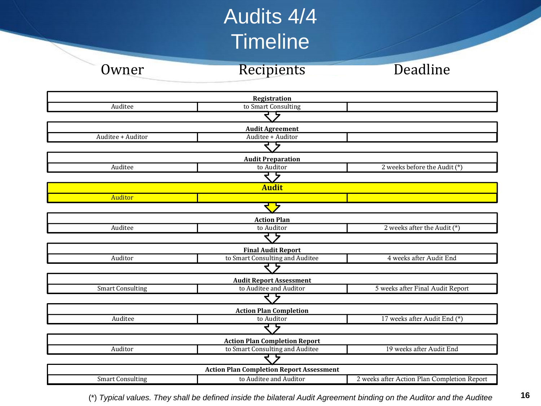### Audits 4/4 **Timeline**

Owner Recipients Deadline





(\*) *Typical values. They shall be defined inside the bilateral Audit Agreement binding on the Auditor and the Auditee*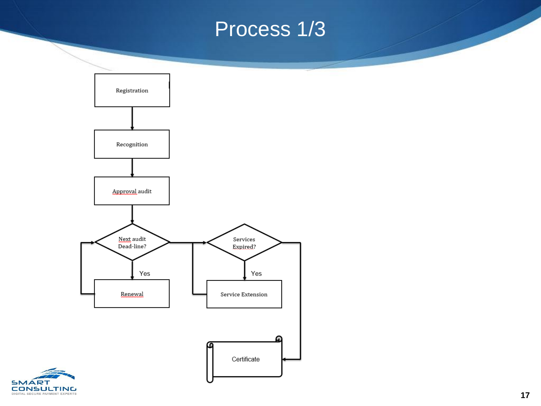### Process 1/3



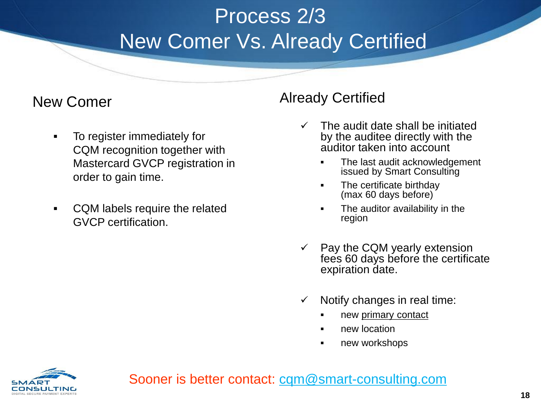## Process 2/3 New Comer Vs. Already Certified

### New Comer

- To register immediately for CQM recognition together with Mastercard GVCP registration in order to gain time.
- CQM labels require the related GVCP certification.

### Already Certified

- $\checkmark$  The audit date shall be initiated by the auditee directly with the auditor taken into account
	- The last audit acknowledgement issued by Smart Consulting
	- The certificate birthday (max 60 days before)
	- The auditor availability in the region
- $\checkmark$  Pay the CQM yearly extension fees 60 days before the certificate expiration date.
- $\checkmark$  Notify changes in real time:
	- **new primary contact**
	- **new location**
	- **new workshops**



Sooner is better contact: [cqm@smart-consulting.com](mailto:cqm@smart-consulting.com)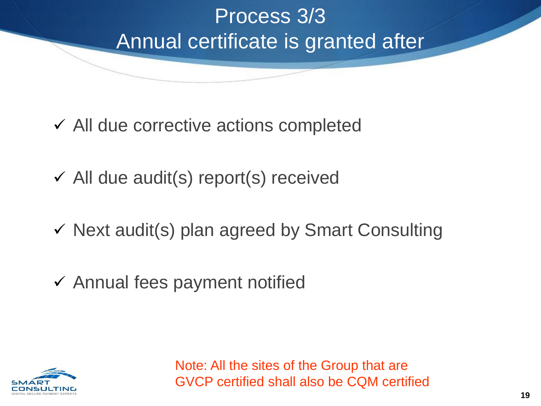## Process 3/3 Annual certificate is granted after

- $\checkmark$  All due corrective actions completed
- $\checkmark$  All due audit(s) report(s) received
- $\checkmark$  Next audit(s) plan agreed by Smart Consulting
- $\checkmark$  Annual fees payment notified

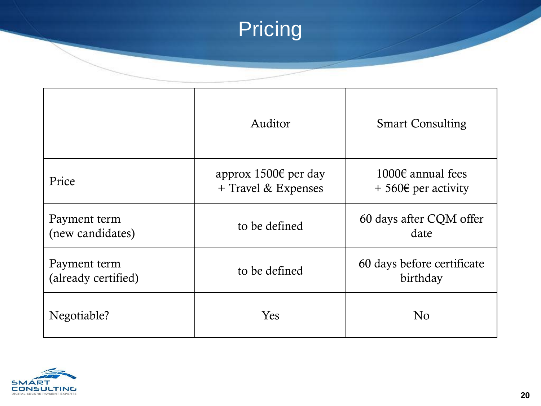## **Pricing**

|                                     | Auditor                                     | <b>Smart Consulting</b>                           |  |  |  |
|-------------------------------------|---------------------------------------------|---------------------------------------------------|--|--|--|
| Price                               | approx 1500€ per day<br>+ Travel & Expenses | 1000€ annual fees<br>$+560 \epsilon$ per activity |  |  |  |
| Payment term<br>(new candidates)    | to be defined                               | 60 days after CQM offer<br>date                   |  |  |  |
| Payment term<br>(already certified) | to be defined                               | 60 days before certificate<br>birthday            |  |  |  |
| Negotiable?                         | Yes                                         | N <sub>0</sub>                                    |  |  |  |

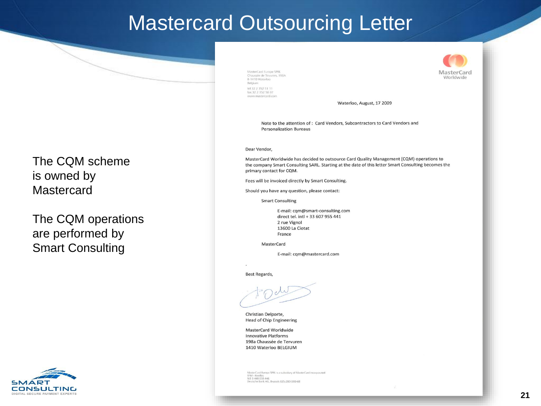### Mastercard Outsourcing Letter

The CQM scheme is owned by **Mastercard** 

The CQM operations are performed by Smart Consulting



MasterCard Europe SPRL Chaussée de Tervuren, 198A B-1410 Waterloo Belgium tel 32 2 352 51 11 fax 32 2 352 58 07 www.mastercard.com



Waterloo, August, 17 2009

Note to the attention of: Card Vendors, Subcontractors to Card Vendors and **Personalization Bureaus** 

#### Dear Vendor.

MasterCard Worldwide has decided to outsource Card Quality Management (CQM) operations to the company Smart Consulting SARL. Starting at the date of this letter Smart Consulting becomes the primary contact for CQM.

Fees will be invoiced directly by Smart Consulting.

Should you have any question, please contact:

**Smart Consulting** 

E-mail: cqm@smart-consulting.com direct tel. intl + 33 607 955 441 2 rue Vignol 13600 La Ciotat France

MasterCard

E-mail: cqm@mastercard.com

**Best Regards,** 

Christian Delporte, **Head of Chip Engineering** 

MasterCard Worldwide **Innovative Platforms** 198a Chaussée de Tervuren 1410 Waterloo BELGIUM

MasterCard Europe SPRL is a subsidiary of MasterCard Incorporated **RPM - Nivelles** N.E 0 448 038 446 sche Bank AG, Brussels 825-2804300-68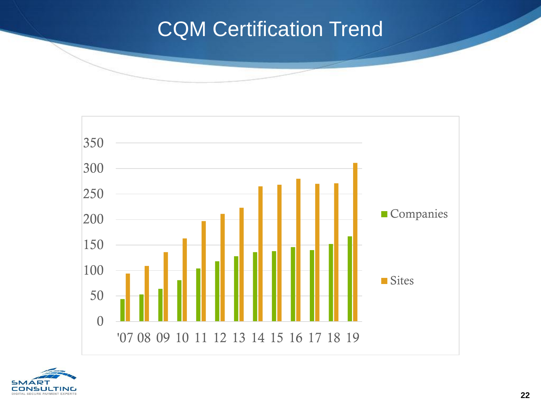### CQM Certification Trend



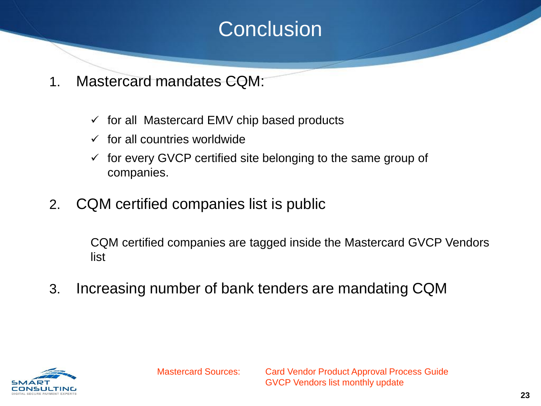### **Conclusion**

- 1. Mastercard mandates CQM:
	- $\checkmark$  for all Mastercard EMV chip based products
	- $\checkmark$  for all countries worldwide
	- $\checkmark$  for every GVCP certified site belonging to the same group of companies.
- 2. CQM certified companies list is public

CQM certified companies are tagged inside the Mastercard GVCP Vendors list

3. Increasing number of bank tenders are mandating CQM